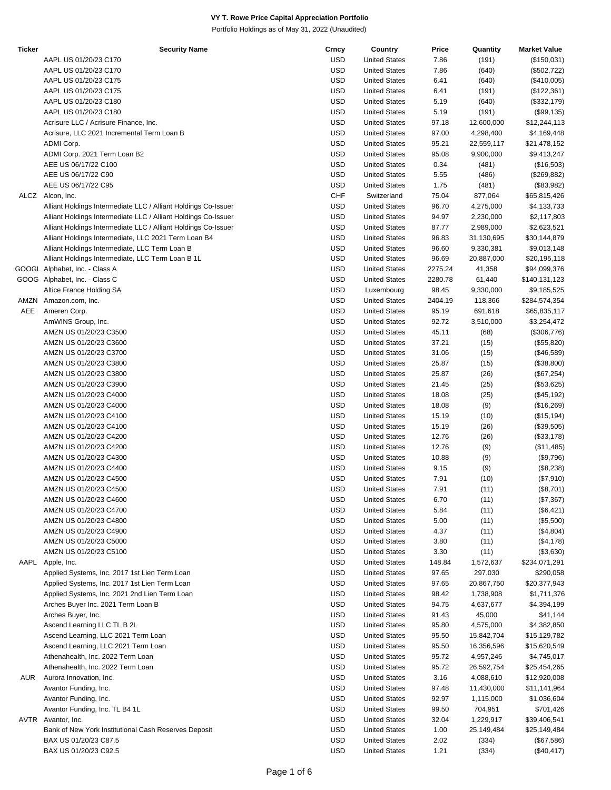| <b>Ticker</b> | <b>Security Name</b>                                           | Crncy      | Country              | Price   | Quantity   | <b>Market Value</b> |
|---------------|----------------------------------------------------------------|------------|----------------------|---------|------------|---------------------|
|               | AAPL US 01/20/23 C170                                          | <b>USD</b> | <b>United States</b> | 7.86    | (191)      | (\$150,031)         |
|               | AAPL US 01/20/23 C170                                          | <b>USD</b> | <b>United States</b> | 7.86    | (640)      | (\$502,722)         |
|               | AAPL US 01/20/23 C175                                          | <b>USD</b> | <b>United States</b> | 6.41    | (640)      | (\$410,005)         |
|               | AAPL US 01/20/23 C175                                          | <b>USD</b> | <b>United States</b> | 6.41    | (191)      | (\$122,361)         |
|               | AAPL US 01/20/23 C180                                          | <b>USD</b> | <b>United States</b> | 5.19    | (640)      | (\$332,179)         |
|               | AAPL US 01/20/23 C180                                          | <b>USD</b> | <b>United States</b> | 5.19    | (191)      | (\$99, 135)         |
|               | Acrisure LLC / Acrisure Finance, Inc.                          | <b>USD</b> | <b>United States</b> | 97.18   | 12,600,000 | \$12,244,113        |
|               | Acrisure, LLC 2021 Incremental Term Loan B                     | <b>USD</b> | <b>United States</b> | 97.00   | 4,298,400  |                     |
|               |                                                                |            |                      |         |            | \$4,169,448         |
|               | ADMI Corp.                                                     | <b>USD</b> | <b>United States</b> | 95.21   | 22,559,117 | \$21,478,152        |
|               | ADMI Corp. 2021 Term Loan B2                                   | <b>USD</b> | <b>United States</b> | 95.08   | 9,900,000  | \$9,413,247         |
|               | AEE US 06/17/22 C100                                           | <b>USD</b> | <b>United States</b> | 0.34    | (481)      | (\$16,503)          |
|               | AEE US 06/17/22 C90                                            | <b>USD</b> | <b>United States</b> | 5.55    | (486)      | (\$269,882)         |
|               | AEE US 06/17/22 C95                                            | <b>USD</b> | <b>United States</b> | 1.75    | (481)      | (\$83,982)          |
| ALCZ          | Alcon, Inc.                                                    | <b>CHF</b> | Switzerland          | 75.04   | 877,064    | \$65,815,426        |
|               | Alliant Holdings Intermediate LLC / Alliant Holdings Co-Issuer | <b>USD</b> | <b>United States</b> | 96.70   | 4,275,000  | \$4,133,733         |
|               | Alliant Holdings Intermediate LLC / Alliant Holdings Co-Issuer | <b>USD</b> | <b>United States</b> | 94.97   | 2,230,000  | \$2,117,803         |
|               | Alliant Holdings Intermediate LLC / Alliant Holdings Co-Issuer | <b>USD</b> | <b>United States</b> | 87.77   | 2,989,000  | \$2,623,521         |
|               | Alliant Holdings Intermediate, LLC 2021 Term Loan B4           | <b>USD</b> | <b>United States</b> | 96.83   | 31,130,695 | \$30,144,879        |
|               | Alliant Holdings Intermediate, LLC Term Loan B                 | <b>USD</b> | <b>United States</b> | 96.60   | 9,330,381  | \$9,013,148         |
|               | Alliant Holdings Intermediate, LLC Term Loan B 1L              | <b>USD</b> | <b>United States</b> | 96.69   | 20,887,000 | \$20,195,118        |
|               | GOOGL Alphabet, Inc. - Class A                                 | <b>USD</b> | <b>United States</b> | 2275.24 | 41,358     | \$94,099,376        |
|               | GOOG Alphabet, Inc. - Class C                                  | <b>USD</b> | <b>United States</b> | 2280.78 | 61,440     | \$140,131,123       |
|               | Altice France Holding SA                                       | <b>USD</b> | Luxembourg           | 98.45   | 9,330,000  | \$9,185,525         |
|               |                                                                |            |                      |         |            |                     |
|               | AMZN Amazon.com, Inc.                                          | <b>USD</b> | <b>United States</b> | 2404.19 | 118,366    | \$284,574,354       |
| AEE           | Ameren Corp.                                                   | <b>USD</b> | <b>United States</b> | 95.19   | 691,618    | \$65,835,117        |
|               | AmWINS Group, Inc.                                             | <b>USD</b> | <b>United States</b> | 92.72   | 3,510,000  | \$3,254,472         |
|               | AMZN US 01/20/23 C3500                                         | <b>USD</b> | <b>United States</b> | 45.11   | (68)       | (\$306,776)         |
|               | AMZN US 01/20/23 C3600                                         | <b>USD</b> | <b>United States</b> | 37.21   | (15)       | (\$55,820)          |
|               | AMZN US 01/20/23 C3700                                         | <b>USD</b> | <b>United States</b> | 31.06   | (15)       | (\$46,589)          |
|               | AMZN US 01/20/23 C3800                                         | <b>USD</b> | <b>United States</b> | 25.87   | (15)       | (\$38,800)          |
|               | AMZN US 01/20/23 C3800                                         | <b>USD</b> | <b>United States</b> | 25.87   | (26)       | (\$67,254)          |
|               | AMZN US 01/20/23 C3900                                         | <b>USD</b> | <b>United States</b> | 21.45   | (25)       | (\$53,625)          |
|               | AMZN US 01/20/23 C4000                                         | <b>USD</b> | <b>United States</b> | 18.08   | (25)       | (\$45,192)          |
|               | AMZN US 01/20/23 C4000                                         | <b>USD</b> | <b>United States</b> | 18.08   | (9)        | (\$16,269)          |
|               | AMZN US 01/20/23 C4100                                         | <b>USD</b> | <b>United States</b> | 15.19   | (10)       | (\$15, 194)         |
|               | AMZN US 01/20/23 C4100                                         | <b>USD</b> | <b>United States</b> | 15.19   | (26)       | (\$39,505)          |
|               | AMZN US 01/20/23 C4200                                         | <b>USD</b> | <b>United States</b> | 12.76   | (26)       | (\$33,178)          |
|               | AMZN US 01/20/23 C4200                                         | <b>USD</b> | <b>United States</b> | 12.76   | (9)        | (\$11,485)          |
|               | AMZN US 01/20/23 C4300                                         | <b>USD</b> | <b>United States</b> | 10.88   | (9)        | (\$9,796)           |
|               |                                                                |            |                      |         |            |                     |
|               | AMZN US 01/20/23 C4400                                         | <b>USD</b> | <b>United States</b> | 9.15    | (9)        | (\$8,238)           |
|               | AMZN US 01/20/23 C4500                                         | <b>USD</b> | <b>United States</b> | 7.91    | (10)       | (\$7,910)           |
|               | AMZN US 01/20/23 C4500                                         | <b>USD</b> | <b>United States</b> | 7.91    | (11)       | (\$8,701)           |
|               | AMZN US 01/20/23 C4600                                         | <b>USD</b> | <b>United States</b> | 6.70    | (11)       | (\$7,367)           |
|               | AMZN US 01/20/23 C4700                                         | <b>USD</b> | <b>United States</b> | 5.84    | (11)       | (\$6,421)           |
|               | AMZN US 01/20/23 C4800                                         | <b>USD</b> | <b>United States</b> | 5.00    | (11)       | (\$5,500)           |
|               | AMZN US 01/20/23 C4900                                         | <b>USD</b> | <b>United States</b> | 4.37    | (11)       | (\$4,804)           |
|               | AMZN US 01/20/23 C5000                                         | <b>USD</b> | <b>United States</b> | 3.80    | (11)       | (\$4,178)           |
|               | AMZN US 01/20/23 C5100                                         | <b>USD</b> | <b>United States</b> | 3.30    | (11)       | (\$3,630)           |
| AAPL          | Apple, Inc.                                                    | <b>USD</b> | <b>United States</b> | 148.84  | 1,572,637  | \$234,071,291       |
|               | Applied Systems, Inc. 2017 1st Lien Term Loan                  | <b>USD</b> | <b>United States</b> | 97.65   | 297,030    | \$290,058           |
|               | Applied Systems, Inc. 2017 1st Lien Term Loan                  | <b>USD</b> | <b>United States</b> | 97.65   | 20,867,750 | \$20,377,943        |
|               | Applied Systems, Inc. 2021 2nd Lien Term Loan                  | <b>USD</b> | <b>United States</b> | 98.42   | 1,738,908  | \$1,711,376         |
|               | Arches Buyer Inc. 2021 Term Loan B                             | <b>USD</b> | <b>United States</b> | 94.75   | 4,637,677  | \$4,394,199         |
|               | Arches Buyer, Inc.                                             | <b>USD</b> | <b>United States</b> | 91.43   | 45,000     | \$41,144            |
|               | Ascend Learning LLC TL B 2L                                    | <b>USD</b> | <b>United States</b> | 95.80   | 4,575,000  | \$4,382,850         |
|               |                                                                |            |                      |         |            |                     |
|               | Ascend Learning, LLC 2021 Term Loan                            | <b>USD</b> | <b>United States</b> | 95.50   | 15,842,704 | \$15,129,782        |
|               | Ascend Learning, LLC 2021 Term Loan                            | <b>USD</b> | <b>United States</b> | 95.50   | 16,356,596 | \$15,620,549        |
|               | Athenahealth, Inc. 2022 Term Loan                              | <b>USD</b> | <b>United States</b> | 95.72   | 4,957,246  | \$4,745,017         |
|               | Athenahealth, Inc. 2022 Term Loan                              | <b>USD</b> | <b>United States</b> | 95.72   | 26,592,754 | \$25,454,265        |
| AUR           | Aurora Innovation, Inc.                                        | <b>USD</b> | <b>United States</b> | 3.16    | 4,088,610  | \$12,920,008        |
|               | Avantor Funding, Inc.                                          | <b>USD</b> | <b>United States</b> | 97.48   | 11,430,000 | \$11,141,964        |
|               | Avantor Funding, Inc.                                          | <b>USD</b> | <b>United States</b> | 92.97   | 1,115,000  | \$1,036,604         |
|               | Avantor Funding, Inc. TL B4 1L                                 | <b>USD</b> | <b>United States</b> | 99.50   | 704,951    | \$701,426           |
|               | AVTR Avantor, Inc.                                             | <b>USD</b> | <b>United States</b> | 32.04   | 1,229,917  | \$39,406,541        |
|               | Bank of New York Institutional Cash Reserves Deposit           | <b>USD</b> | <b>United States</b> | 1.00    | 25,149,484 | \$25,149,484        |
|               | BAX US 01/20/23 C87.5                                          | <b>USD</b> | <b>United States</b> | 2.02    | (334)      | (\$67,586)          |
|               | BAX US 01/20/23 C92.5                                          | <b>USD</b> | <b>United States</b> | 1.21    | (334)      | $(\$40,417)$        |
|               |                                                                |            |                      |         |            |                     |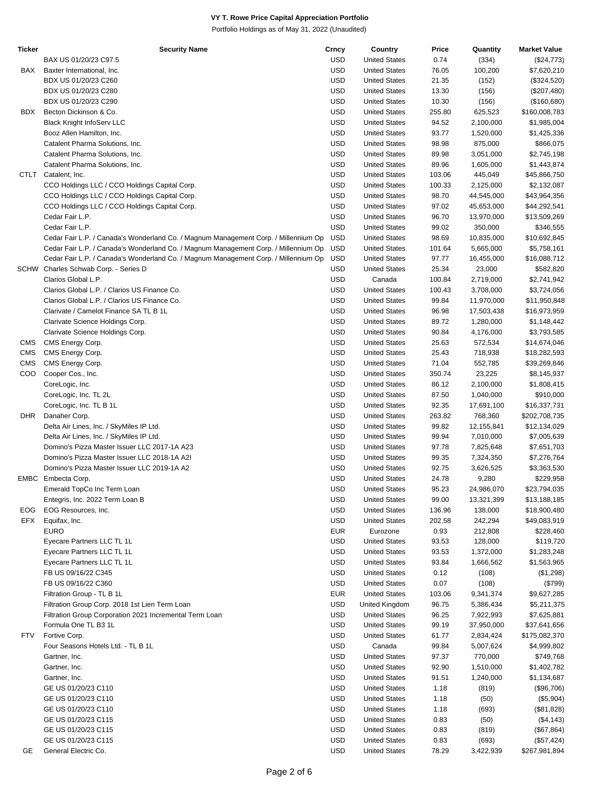| Ticker     | <b>Security Name</b>                                                                | Crncy      | Country              | Price  | Quantity   | <b>Market Value</b> |
|------------|-------------------------------------------------------------------------------------|------------|----------------------|--------|------------|---------------------|
|            | BAX US 01/20/23 C97.5                                                               | <b>USD</b> | <b>United States</b> | 0.74   | (334)      | (\$24,773)          |
| BAX        | Baxter International, Inc.                                                          | <b>USD</b> | <b>United States</b> | 76.05  | 100,200    | \$7,620,210         |
|            | BDX US 01/20/23 C260                                                                | <b>USD</b> | <b>United States</b> | 21.35  | (152)      | (\$324,520)         |
|            | BDX US 01/20/23 C280                                                                | <b>USD</b> | <b>United States</b> | 13.30  | (156)      | (\$207,480)         |
|            | BDX US 01/20/23 C290                                                                | <b>USD</b> | <b>United States</b> | 10.30  | (156)      | (\$160,680)         |
| BDX        | Becton Dickinson & Co.                                                              | <b>USD</b> | <b>United States</b> | 255.80 | 625,523    | \$160,008,783       |
|            |                                                                                     | <b>USD</b> | <b>United States</b> | 94.52  |            |                     |
|            | Black Knight InfoServ LLC                                                           |            |                      |        | 2,100,000  | \$1,985,004         |
|            | Booz Allen Hamilton, Inc.                                                           | <b>USD</b> | <b>United States</b> | 93.77  | 1,520,000  | \$1,425,336         |
|            | Catalent Pharma Solutions, Inc.                                                     | <b>USD</b> | <b>United States</b> | 98.98  | 875,000    | \$866,075           |
|            | Catalent Pharma Solutions, Inc.                                                     | <b>USD</b> | <b>United States</b> | 89.98  | 3,051,000  | \$2,745,198         |
|            | Catalent Pharma Solutions, Inc.                                                     | <b>USD</b> | <b>United States</b> | 89.96  | 1,605,000  | \$1,443,874         |
|            | CTLT Catalent, Inc.                                                                 | <b>USD</b> | <b>United States</b> | 103.06 | 445,049    | \$45,866,750        |
|            | CCO Holdings LLC / CCO Holdings Capital Corp.                                       | <b>USD</b> | <b>United States</b> | 100.33 | 2,125,000  | \$2,132,087         |
|            | CCO Holdings LLC / CCO Holdings Capital Corp.                                       | <b>USD</b> | <b>United States</b> | 98.70  | 44,545,000 | \$43,964,356        |
|            | CCO Holdings LLC / CCO Holdings Capital Corp.                                       | <b>USD</b> | <b>United States</b> | 97.02  | 45,653,000 | \$44,292,541        |
|            | Cedar Fair L.P.                                                                     | <b>USD</b> | <b>United States</b> | 96.70  | 13,970,000 | \$13,509,269        |
|            | Cedar Fair L.P.                                                                     | <b>USD</b> | <b>United States</b> | 99.02  | 350,000    | \$346,555           |
|            | Cedar Fair L.P. / Canada's Wonderland Co. / Magnum Management Corp. / Millennium Op | <b>USD</b> | <b>United States</b> | 98.69  | 10,835,000 | \$10,692,845        |
|            | Cedar Fair L.P. / Canada's Wonderland Co. / Magnum Management Corp. / Millennium Op | <b>USD</b> | <b>United States</b> | 101.64 | 5,665,000  | \$5,758,161         |
|            | Cedar Fair L.P. / Canada's Wonderland Co. / Magnum Management Corp. / Millennium Op | <b>USD</b> | <b>United States</b> | 97.77  | 16,455,000 | \$16,088,712        |
|            | SCHW Charles Schwab Corp. - Series D                                                | <b>USD</b> | <b>United States</b> | 25.34  | 23,000     | \$582,820           |
|            | Clarios Global L.P.                                                                 | <b>USD</b> | Canada               | 100.84 | 2,719,000  | \$2,741,942         |
|            | Clarios Global L.P. / Clarios US Finance Co.                                        | <b>USD</b> | <b>United States</b> | 100.43 | 3,708,000  | \$3,724,056         |
|            |                                                                                     |            |                      |        |            |                     |
|            | Clarios Global L.P. / Clarios US Finance Co.                                        | <b>USD</b> | <b>United States</b> | 99.84  | 11,970,000 | \$11,950,848        |
|            | Clarivate / Camelot Finance SA TL B 1L                                              | <b>USD</b> | <b>United States</b> | 96.98  | 17,503,438 | \$16,973,959        |
|            | Clarivate Science Holdings Corp.                                                    | <b>USD</b> | <b>United States</b> | 89.72  | 1,280,000  | \$1,148,442         |
|            | Clarivate Science Holdings Corp.                                                    | <b>USD</b> | <b>United States</b> | 90.84  | 4,176,000  | \$3,793,585         |
| <b>CMS</b> | CMS Energy Corp.                                                                    | <b>USD</b> | <b>United States</b> | 25.63  | 572,534    | \$14,674,046        |
| <b>CMS</b> | CMS Energy Corp.                                                                    | <b>USD</b> | <b>United States</b> | 25.43  | 718,938    | \$18,282,593        |
| <b>CMS</b> | CMS Energy Corp.                                                                    | <b>USD</b> | <b>United States</b> | 71.04  | 552,785    | \$39,269,846        |
| <b>COO</b> | Cooper Cos., Inc.                                                                   | <b>USD</b> | <b>United States</b> | 350.74 | 23,225     | \$8,145,937         |
|            | CoreLogic, Inc.                                                                     | <b>USD</b> | <b>United States</b> | 86.12  | 2,100,000  | \$1,808,415         |
|            | CoreLogic, Inc. TL 2L                                                               | <b>USD</b> | <b>United States</b> | 87.50  | 1,040,000  | \$910,000           |
|            | CoreLogic, Inc. TL B 1L                                                             | <b>USD</b> | <b>United States</b> | 92.35  | 17,691,100 | \$16,337,731        |
| DHR        | Danaher Corp.                                                                       | <b>USD</b> | <b>United States</b> | 263.82 | 768,360    | \$202,708,735       |
|            | Delta Air Lines, Inc. / SkyMiles IP Ltd.                                            | <b>USD</b> | <b>United States</b> | 99.82  | 12,155,841 | \$12,134,029        |
|            | Delta Air Lines, Inc. / SkyMiles IP Ltd.                                            | <b>USD</b> | <b>United States</b> | 99.94  | 7,010,000  | \$7,005,639         |
|            | Domino's Pizza Master Issuer LLC 2017-1A A23                                        | <b>USD</b> | <b>United States</b> | 97.78  | 7,825,648  | \$7,651,703         |
|            |                                                                                     | <b>USD</b> |                      |        |            |                     |
|            | Domino's Pizza Master Issuer LLC 2018-1A A2I                                        |            | <b>United States</b> | 99.35  | 7,324,350  | \$7,276,764         |
|            | Domino's Pizza Master Issuer LLC 2019-1A A2                                         | <b>USD</b> | <b>United States</b> | 92.75  | 3,626,525  | \$3,363,530         |
|            | EMBC Embecta Corp.                                                                  | <b>USD</b> | <b>United States</b> | 24.78  | 9,280      | \$229,958           |
|            | Emerald TopCo Inc Term Loan                                                         | <b>USD</b> | <b>United States</b> | 95.23  | 24,986,070 | \$23,794,035        |
|            | Entegris, Inc. 2022 Term Loan B                                                     | <b>USD</b> | <b>United States</b> | 99.00  | 13,321,399 | \$13,188,185        |
| EOG        | EOG Resources, Inc.                                                                 | <b>USD</b> | <b>United States</b> | 136.96 | 138,000    | \$18,900,480        |
| EFX        | Equifax, Inc.                                                                       | <b>USD</b> | <b>United States</b> | 202.58 | 242,294    | \$49,083,919        |
|            | <b>EURO</b>                                                                         | <b>EUR</b> | Eurozone             | 0.93   | 212,808    | \$228,460           |
|            | Eyecare Partners LLC TL 1L                                                          | <b>USD</b> | <b>United States</b> | 93.53  | 128,000    | \$119,720           |
|            | Eyecare Partners LLC TL 1L                                                          | <b>USD</b> | <b>United States</b> | 93.53  | 1,372,000  | \$1,283,248         |
|            | Eyecare Partners LLC TL 1L                                                          | <b>USD</b> | <b>United States</b> | 93.84  | 1,666,562  | \$1,563,965         |
|            | FB US 09/16/22 C345                                                                 | <b>USD</b> | <b>United States</b> | 0.12   | (108)      | (\$1,298)           |
|            | FB US 09/16/22 C360                                                                 | <b>USD</b> | <b>United States</b> | 0.07   | (108)      | (\$799)             |
|            | Filtration Group - TL B 1L                                                          | <b>EUR</b> | <b>United States</b> | 103.06 | 9,341,374  | \$9,627,285         |
|            | Filtration Group Corp. 2018 1st Lien Term Loan                                      | <b>USD</b> | United Kingdom       | 96.75  |            |                     |
|            |                                                                                     |            |                      |        | 5,386,434  | \$5,211,375         |
|            | Filtration Group Corporation 2021 Incremental Term Loan                             | <b>USD</b> | <b>United States</b> | 96.25  | 7,922,993  | \$7,625,881         |
|            | Formula One TL B3 1L                                                                | <b>USD</b> | <b>United States</b> | 99.19  | 37,950,000 | \$37,641,656        |
| <b>FTV</b> | Fortive Corp.                                                                       | <b>USD</b> | <b>United States</b> | 61.77  | 2,834,424  | \$175,082,370       |
|            | Four Seasons Hotels Ltd. - TL B 1L                                                  | <b>USD</b> | Canada               | 99.84  | 5,007,624  | \$4,999,802         |
|            | Gartner, Inc.                                                                       | <b>USD</b> | <b>United States</b> | 97.37  | 770,000    | \$749,768           |
|            | Gartner, Inc.                                                                       | <b>USD</b> | <b>United States</b> | 92.90  | 1,510,000  | \$1,402,782         |
|            | Gartner, Inc.                                                                       | <b>USD</b> | <b>United States</b> | 91.51  | 1,240,000  | \$1,134,687         |
|            | GE US 01/20/23 C110                                                                 | <b>USD</b> | <b>United States</b> | 1.18   | (819)      | (\$96,706)          |
|            | GE US 01/20/23 C110                                                                 | <b>USD</b> | <b>United States</b> | 1.18   | (50)       | (\$5,904)           |
|            | GE US 01/20/23 C110                                                                 | <b>USD</b> | <b>United States</b> | 1.18   | (693)      | (\$81,828)          |
|            | GE US 01/20/23 C115                                                                 | <b>USD</b> | <b>United States</b> | 0.83   | (50)       | (\$4,143)           |
|            | GE US 01/20/23 C115                                                                 | <b>USD</b> | <b>United States</b> | 0.83   | (819)      | (\$67,864)          |
|            | GE US 01/20/23 C115                                                                 | <b>USD</b> | <b>United States</b> | 0.83   | (693)      |                     |
|            |                                                                                     |            |                      |        |            | (\$57,424)          |
| GE         | General Electric Co.                                                                | <b>USD</b> | <b>United States</b> | 78.29  | 3,422,939  | \$267,981,894       |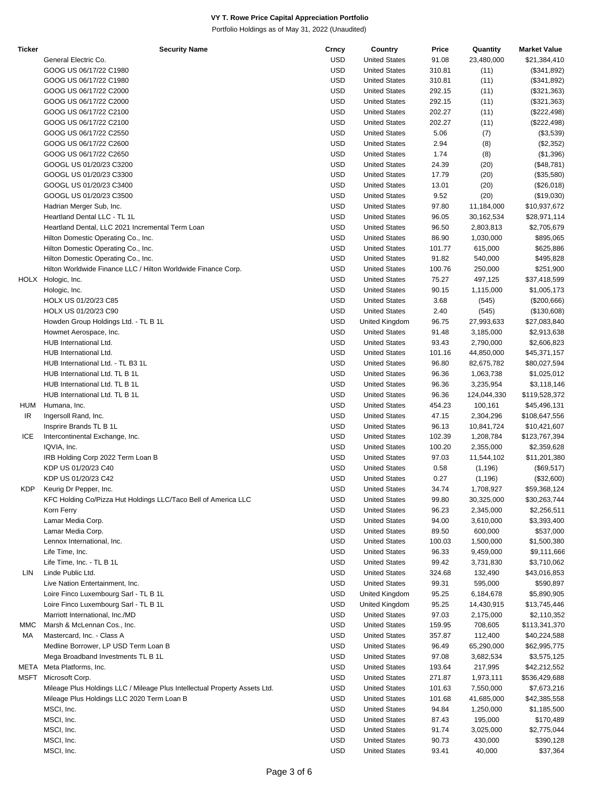| <b>Ticker</b> | <b>Security Name</b>                                                       | Crncy      | Country              | Price  | Quantity    | <b>Market Value</b> |
|---------------|----------------------------------------------------------------------------|------------|----------------------|--------|-------------|---------------------|
|               | General Electric Co.                                                       | <b>USD</b> | <b>United States</b> | 91.08  | 23,480,000  | \$21,384,410        |
|               | GOOG US 06/17/22 C1980                                                     | USD        | <b>United States</b> | 310.81 | (11)        | (\$341,892)         |
|               | GOOG US 06/17/22 C1980                                                     | <b>USD</b> | <b>United States</b> | 310.81 | (11)        | (\$341,892)         |
|               | GOOG US 06/17/22 C2000                                                     | <b>USD</b> | <b>United States</b> | 292.15 | (11)        | (\$321,363)         |
|               | GOOG US 06/17/22 C2000                                                     | <b>USD</b> | <b>United States</b> | 292.15 | (11)        | (\$321,363)         |
|               | GOOG US 06/17/22 C2100                                                     | USD        | <b>United States</b> | 202.27 | (11)        | (\$222,498)         |
|               | GOOG US 06/17/22 C2100                                                     | <b>USD</b> | <b>United States</b> | 202.27 | (11)        | (\$222,498)         |
|               | GOOG US 06/17/22 C2550                                                     | <b>USD</b> | <b>United States</b> | 5.06   | (7)         | (\$3,539)           |
|               | GOOG US 06/17/22 C2600                                                     | <b>USD</b> | <b>United States</b> | 2.94   | (8)         | (\$2,352)           |
|               | GOOG US 06/17/22 C2650                                                     | USD        | <b>United States</b> | 1.74   | (8)         | (\$1,396)           |
|               | GOOGL US 01/20/23 C3200                                                    | USD        | <b>United States</b> | 24.39  | (20)        | (\$48,781)          |
|               | GOOGL US 01/20/23 C3300                                                    | USD        | <b>United States</b> | 17.79  | (20)        | (\$35,580)          |
|               | GOOGL US 01/20/23 C3400                                                    | <b>USD</b> | <b>United States</b> | 13.01  | (20)        | (\$26,018)          |
|               | GOOGL US 01/20/23 C3500                                                    | USD        | <b>United States</b> | 9.52   | (20)        | (\$19,030)          |
|               | Hadrian Merger Sub, Inc.                                                   | <b>USD</b> | <b>United States</b> | 97.80  | 11,184,000  | \$10,937,672        |
|               | Heartland Dental LLC - TL 1L                                               | <b>USD</b> | <b>United States</b> | 96.05  | 30,162,534  | \$28,971,114        |
|               | Heartland Dental, LLC 2021 Incremental Term Loan                           | <b>USD</b> | <b>United States</b> | 96.50  |             |                     |
|               |                                                                            |            |                      |        | 2,803,813   | \$2,705,679         |
|               | Hilton Domestic Operating Co., Inc.                                        | USD        | <b>United States</b> | 86.90  | 1,030,000   | \$895,065           |
|               | Hilton Domestic Operating Co., Inc.                                        | USD        | <b>United States</b> | 101.77 | 615,000     | \$625,886           |
|               | Hilton Domestic Operating Co., Inc.                                        | USD        | <b>United States</b> | 91.82  | 540,000     | \$495,828           |
|               | Hilton Worldwide Finance LLC / Hilton Worldwide Finance Corp.              | <b>USD</b> | <b>United States</b> | 100.76 | 250,000     | \$251,900           |
|               | HOLX Hologic, Inc.                                                         | USD        | <b>United States</b> | 75.27  | 497,125     | \$37,418,599        |
|               | Hologic, Inc.                                                              | USD        | <b>United States</b> | 90.15  | 1,115,000   | \$1,005,173         |
|               | HOLX US 01/20/23 C85                                                       | <b>USD</b> | <b>United States</b> | 3.68   | (545)       | (\$200,666)         |
|               | HOLX US 01/20/23 C90                                                       | <b>USD</b> | <b>United States</b> | 2.40   | (545)       | (\$130,608)         |
|               | Howden Group Holdings Ltd. - TL B 1L                                       | USD        | United Kingdom       | 96.75  | 27,993,633  | \$27,083,840        |
|               | Howmet Aerospace, Inc.                                                     | USD        | <b>United States</b> | 91.48  | 3,185,000   | \$2,913,638         |
|               | HUB International Ltd.                                                     | <b>USD</b> | <b>United States</b> | 93.43  | 2,790,000   | \$2,606,823         |
|               | HUB International Ltd.                                                     | <b>USD</b> | <b>United States</b> | 101.16 | 44,850,000  | \$45,371,157        |
|               | HUB International Ltd. - TL B3 1L                                          | USD        | <b>United States</b> | 96.80  | 82,675,782  | \$80,027,594        |
|               | HUB International Ltd. TL B 1L                                             | <b>USD</b> | <b>United States</b> | 96.36  | 1,063,738   | \$1,025,012         |
|               | HUB International Ltd. TL B 1L                                             | <b>USD</b> | <b>United States</b> | 96.36  | 3,235,954   | \$3,118,146         |
|               | HUB International Ltd. TL B 1L                                             | <b>USD</b> | <b>United States</b> | 96.36  | 124,044,330 | \$119,528,372       |
| HUM           | Humana, Inc.                                                               | USD        | <b>United States</b> | 454.23 | 100,161     | \$45,496,131        |
| IR            | Ingersoll Rand, Inc.                                                       | USD        | <b>United States</b> | 47.15  | 2,304,296   | \$108,647,556       |
|               | Insprire Brands TL B 1L                                                    | USD        | <b>United States</b> | 96.13  | 10,841,724  | \$10,421,607        |
| ICE           | Intercontinental Exchange, Inc.                                            | <b>USD</b> | <b>United States</b> | 102.39 | 1,208,784   | \$123,767,394       |
|               | IQVIA, Inc.                                                                | USD        | <b>United States</b> | 100.20 | 2,355,000   | \$2,359,628         |
|               | IRB Holding Corp 2022 Term Loan B                                          | USD        | <b>United States</b> | 97.03  | 11,544,102  | \$11,201,380        |
|               | KDP US 01/20/23 C40                                                        | <b>USD</b> | <b>United States</b> | 0.58   | (1, 196)    | (\$69,517)          |
|               | KDP US 01/20/23 C42                                                        | <b>USD</b> | <b>United States</b> | 0.27   | (1, 196)    | (\$32,600)          |
| KDP           | Keurig Dr Pepper, Inc.                                                     | <b>USD</b> | <b>United States</b> | 34.74  | 1,708,927   | \$59,368,124        |
|               | KFC Holding Co/Pizza Hut Holdings LLC/Taco Bell of America LLC             | USD        | <b>United States</b> | 99.80  | 30,325,000  | \$30,263,744        |
|               | Korn Ferry                                                                 | <b>USD</b> | <b>United States</b> | 96.23  | 2,345,000   | \$2,256,511         |
|               | Lamar Media Corp.                                                          | <b>USD</b> | <b>United States</b> | 94.00  | 3,610,000   | \$3,393,400         |
|               | Lamar Media Corp.                                                          | USD        | <b>United States</b> | 89.50  | 600,000     | \$537,000           |
|               | Lennox International, Inc.                                                 | USD        | <b>United States</b> | 100.03 | 1,500,000   | \$1,500,380         |
|               |                                                                            |            |                      |        |             |                     |
|               | Life Time, Inc.                                                            | USD        | <b>United States</b> | 96.33  | 9,459,000   | \$9,111,666         |
|               | Life Time, Inc. - TL B 1L                                                  | USD        | <b>United States</b> | 99.42  | 3,731,830   | \$3,710,062         |
| LIN           | Linde Public Ltd.                                                          | USD        | <b>United States</b> | 324.68 | 132,490     | \$43,016,853        |
|               | Live Nation Entertainment, Inc.                                            | USD        | <b>United States</b> | 99.31  | 595,000     | \$590,897           |
|               | Loire Finco Luxembourg Sarl - TL B 1L                                      | <b>USD</b> | United Kingdom       | 95.25  | 6,184,678   | \$5,890,905         |
|               | Loire Finco Luxembourg Sarl - TL B 1L                                      | <b>USD</b> | United Kingdom       | 95.25  | 14,430,915  | \$13,745,446        |
|               | Marriott International, Inc./MD                                            | USD        | <b>United States</b> | 97.03  | 2,175,000   | \$2,110,352         |
| MMC           | Marsh & McLennan Cos., Inc.                                                | USD        | <b>United States</b> | 159.95 | 708,605     | \$113,341,370       |
| МA            | Mastercard, Inc. - Class A                                                 | USD        | <b>United States</b> | 357.87 | 112,400     | \$40,224,588        |
|               | Medline Borrower, LP USD Term Loan B                                       | USD        | <b>United States</b> | 96.49  | 65,290,000  | \$62,995,775        |
|               | Mega Broadband Investments TL B 1L                                         | USD        | <b>United States</b> | 97.08  | 3,682,534   | \$3,575,125         |
| META          | Meta Platforms, Inc.                                                       | USD        | <b>United States</b> | 193.64 | 217,995     | \$42,212,552        |
| MSFT          | Microsoft Corp.                                                            | USD        | <b>United States</b> | 271.87 | 1,973,111   | \$536,429,688       |
|               | Mileage Plus Holdings LLC / Mileage Plus Intellectual Property Assets Ltd. | USD        | <b>United States</b> | 101.63 | 7,550,000   | \$7,673,216         |
|               | Mileage Plus Holdings LLC 2020 Term Loan B                                 | USD        | <b>United States</b> | 101.68 | 41,685,000  | \$42,385,558        |
|               | MSCI, Inc.                                                                 | USD        | <b>United States</b> | 94.84  | 1,250,000   | \$1,185,500         |
|               | MSCI, Inc.                                                                 | USD        | <b>United States</b> | 87.43  | 195,000     | \$170,489           |
|               | MSCI, Inc.                                                                 | USD        | <b>United States</b> | 91.74  | 3,025,000   | \$2,775,044         |
|               | MSCI, Inc.                                                                 | USD        | <b>United States</b> | 90.73  | 430,000     | \$390,128           |
|               | MSCI, Inc.                                                                 | <b>USD</b> | <b>United States</b> | 93.41  | 40,000      | \$37,364            |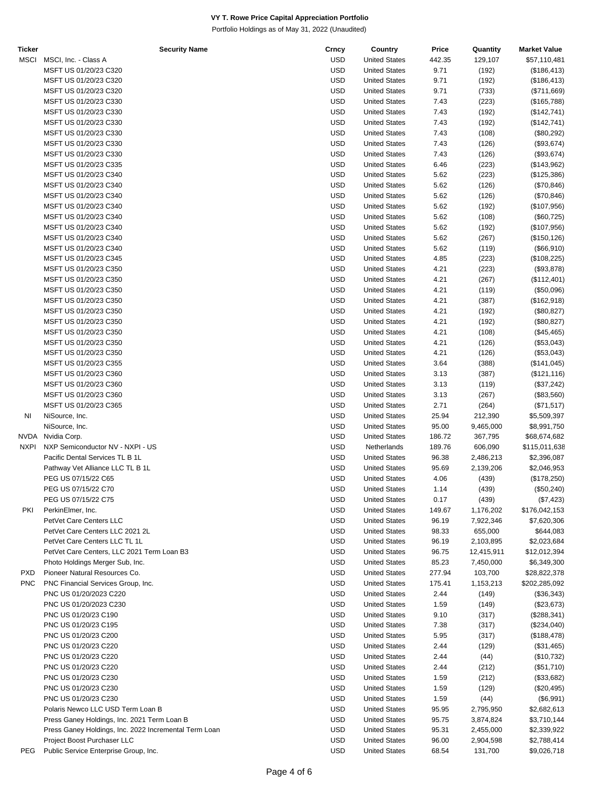| <b>Ticker</b> | <b>Security Name</b>                                  | Crncy      | Country              | Price  | Quantity   | <b>Market Value</b> |
|---------------|-------------------------------------------------------|------------|----------------------|--------|------------|---------------------|
| <b>MSCI</b>   | MSCI, Inc. - Class A                                  | <b>USD</b> | <b>United States</b> | 442.35 | 129,107    | \$57,110,481        |
|               | MSFT US 01/20/23 C320                                 | <b>USD</b> | <b>United States</b> | 9.71   | (192)      | (\$186,413)         |
|               | MSFT US 01/20/23 C320                                 | <b>USD</b> | <b>United States</b> | 9.71   | (192)      | (\$186,413)         |
|               | MSFT US 01/20/23 C320                                 | <b>USD</b> | <b>United States</b> | 9.71   | (733)      | (\$711,669)         |
|               | MSFT US 01/20/23 C330                                 | <b>USD</b> | <b>United States</b> | 7.43   | (223)      | (\$165,788)         |
|               | MSFT US 01/20/23 C330                                 | <b>USD</b> | <b>United States</b> | 7.43   | (192)      | (\$142,741)         |
|               | MSFT US 01/20/23 C330                                 | <b>USD</b> | <b>United States</b> | 7.43   | (192)      | (\$142,741)         |
|               | MSFT US 01/20/23 C330                                 | <b>USD</b> | <b>United States</b> | 7.43   | (108)      | (\$80,292)          |
|               | MSFT US 01/20/23 C330                                 | <b>USD</b> | <b>United States</b> | 7.43   | (126)      | (\$93,674)          |
|               | MSFT US 01/20/23 C330                                 | <b>USD</b> | <b>United States</b> | 7.43   | (126)      | (\$93,674)          |
|               | MSFT US 01/20/23 C335                                 | <b>USD</b> | <b>United States</b> | 6.46   | (223)      | (\$143,962)         |
|               | MSFT US 01/20/23 C340                                 | USD        | <b>United States</b> | 5.62   | (223)      | (\$125,386)         |
|               | MSFT US 01/20/23 C340                                 | <b>USD</b> | <b>United States</b> | 5.62   | (126)      | (\$70,846)          |
|               | MSFT US 01/20/23 C340                                 | <b>USD</b> | <b>United States</b> | 5.62   | (126)      | (\$70,846)          |
|               | MSFT US 01/20/23 C340                                 | <b>USD</b> | <b>United States</b> | 5.62   | (192)      | (\$107,956)         |
|               | MSFT US 01/20/23 C340                                 | <b>USD</b> | <b>United States</b> | 5.62   | (108)      | (\$60,725)          |
|               | MSFT US 01/20/23 C340                                 | <b>USD</b> | <b>United States</b> | 5.62   | (192)      | (\$107,956)         |
|               | MSFT US 01/20/23 C340                                 | <b>USD</b> | <b>United States</b> | 5.62   | (267)      | (\$150, 126)        |
|               | MSFT US 01/20/23 C340                                 | <b>USD</b> | <b>United States</b> | 5.62   | (119)      | (\$66,910)          |
|               | MSFT US 01/20/23 C345                                 | USD        | <b>United States</b> | 4.85   | (223)      | (\$108,225)         |
|               | MSFT US 01/20/23 C350                                 | <b>USD</b> | <b>United States</b> |        |            |                     |
|               |                                                       |            |                      | 4.21   | (223)      | (\$93,878)          |
|               | MSFT US 01/20/23 C350                                 | <b>USD</b> | <b>United States</b> | 4.21   | (267)      | (\$112,401)         |
|               | MSFT US 01/20/23 C350                                 | <b>USD</b> | <b>United States</b> | 4.21   | (119)      | (\$50,096)          |
|               | MSFT US 01/20/23 C350                                 | <b>USD</b> | <b>United States</b> | 4.21   | (387)      | (\$162,918)         |
|               | MSFT US 01/20/23 C350                                 | <b>USD</b> | <b>United States</b> | 4.21   | (192)      | (\$80,827)          |
|               | MSFT US 01/20/23 C350                                 | <b>USD</b> | <b>United States</b> | 4.21   | (192)      | (\$80,827)          |
|               | MSFT US 01/20/23 C350                                 | <b>USD</b> | <b>United States</b> | 4.21   | (108)      | (\$45,465)          |
|               | MSFT US 01/20/23 C350                                 | USD        | <b>United States</b> | 4.21   | (126)      | (\$53,043)          |
|               | MSFT US 01/20/23 C350                                 | <b>USD</b> | <b>United States</b> | 4.21   | (126)      | (\$53,043)          |
|               | MSFT US 01/20/23 C355                                 | <b>USD</b> | <b>United States</b> | 3.64   | (388)      | (\$141,045)         |
|               | MSFT US 01/20/23 C360                                 | <b>USD</b> | <b>United States</b> | 3.13   | (387)      | (\$121, 116)        |
|               | MSFT US 01/20/23 C360                                 | <b>USD</b> | <b>United States</b> | 3.13   | (119)      | (\$37,242)          |
|               | MSFT US 01/20/23 C360                                 | <b>USD</b> | <b>United States</b> | 3.13   | (267)      | (\$83,560)          |
|               | MSFT US 01/20/23 C365                                 | <b>USD</b> | <b>United States</b> | 2.71   | (264)      | (\$71,517)          |
| ΝI            | NiSource, Inc.                                        | <b>USD</b> | <b>United States</b> | 25.94  | 212,390    | \$5,509,397         |
|               | NiSource, Inc.                                        | USD        | <b>United States</b> | 95.00  | 9,465,000  | \$8,991,750         |
| NVDA          | Nvidia Corp.                                          | <b>USD</b> | <b>United States</b> | 186.72 | 367,795    | \$68,674,682        |
| <b>NXPI</b>   | NXP Semiconductor NV - NXPI - US                      | <b>USD</b> | Netherlands          | 189.76 | 606,090    | \$115,011,638       |
|               | Pacific Dental Services TL B 1L                       | <b>USD</b> | <b>United States</b> | 96.38  | 2,486,213  | \$2,396,087         |
|               | Pathway Vet Alliance LLC TL B 1L                      | <b>USD</b> | <b>United States</b> | 95.69  | 2,139,206  | \$2,046,953         |
|               | PEG US 07/15/22 C65                                   | <b>USD</b> | <b>United States</b> | 4.06   | (439)      | (\$178,250)         |
|               | PEG US 07/15/22 C70                                   | <b>USD</b> | <b>United States</b> | 1.14   | (439)      | (\$50,240)          |
|               | PEG US 07/15/22 C75                                   | USD        | <b>United States</b> | 0.17   | (439)      | (\$7,423)           |
| PKI           | PerkinElmer, Inc.                                     | <b>USD</b> | <b>United States</b> | 149.67 | 1,176,202  | \$176,042,153       |
|               | PetVet Care Centers LLC                               | <b>USD</b> | <b>United States</b> | 96.19  | 7,922,346  | \$7,620,306         |
|               | PetVet Care Centers LLC 2021 2L                       | <b>USD</b> | <b>United States</b> | 98.33  | 655,000    | \$644,083           |
|               | PetVet Care Centers LLC TL 1L                         | <b>USD</b> | <b>United States</b> | 96.19  | 2,103,895  | \$2,023,684         |
|               | PetVet Care Centers, LLC 2021 Term Loan B3            | USD        | <b>United States</b> | 96.75  | 12,415,911 | \$12,012,394        |
|               | Photo Holdings Merger Sub, Inc.                       | <b>USD</b> | <b>United States</b> | 85.23  | 7,450,000  | \$6,349,300         |
| <b>PXD</b>    | Pioneer Natural Resources Co.                         | <b>USD</b> | <b>United States</b> | 277.94 | 103,700    | \$28,822,378        |
| <b>PNC</b>    | PNC Financial Services Group, Inc.                    | <b>USD</b> | <b>United States</b> | 175.41 | 1,153,213  | \$202,285,092       |
|               | PNC US 01/20/2023 C220                                | <b>USD</b> | <b>United States</b> | 2.44   | (149)      | (\$36,343)          |
|               | PNC US 01/20/2023 C230                                | <b>USD</b> | <b>United States</b> | 1.59   | (149)      | (\$23,673)          |
|               | PNC US 01/20/23 C190                                  | <b>USD</b> | <b>United States</b> | 9.10   | (317)      | (\$288,341)         |
|               | PNC US 01/20/23 C195                                  | <b>USD</b> | <b>United States</b> | 7.38   | (317)      | (\$234,040)         |
|               | PNC US 01/20/23 C200                                  | <b>USD</b> | <b>United States</b> | 5.95   | (317)      | (\$188,478)         |
|               | PNC US 01/20/23 C220                                  | <b>USD</b> | <b>United States</b> | 2.44   | (129)      | (\$31,465)          |
|               | PNC US 01/20/23 C220                                  | <b>USD</b> | <b>United States</b> | 2.44   | (44)       | (\$10,732)          |
|               | PNC US 01/20/23 C220                                  | <b>USD</b> | <b>United States</b> | 2.44   |            |                     |
|               |                                                       |            |                      |        | (212)      | (\$51,710)          |
|               | PNC US 01/20/23 C230                                  | USD        | <b>United States</b> | 1.59   | (212)      | (\$33,682)          |
|               | PNC US 01/20/23 C230                                  | <b>USD</b> | <b>United States</b> | 1.59   | (129)      | (\$20,495)          |
|               | PNC US 01/20/23 C230                                  | <b>USD</b> | <b>United States</b> | 1.59   | (44)       | (\$6,991)           |
|               | Polaris Newco LLC USD Term Loan B                     | <b>USD</b> | <b>United States</b> | 95.95  | 2,795,950  | \$2,682,613         |
|               | Press Ganey Holdings, Inc. 2021 Term Loan B           | <b>USD</b> | <b>United States</b> | 95.75  | 3,874,824  | \$3,710,144         |
|               | Press Ganey Holdings, Inc. 2022 Incremental Term Loan | <b>USD</b> | <b>United States</b> | 95.31  | 2,455,000  | \$2,339,922         |
|               | Project Boost Purchaser LLC                           | <b>USD</b> | <b>United States</b> | 96.00  | 2,904,598  | \$2,788,414         |
| <b>PEG</b>    | Public Service Enterprise Group, Inc.                 | <b>USD</b> | <b>United States</b> | 68.54  | 131,700    | \$9,026,718         |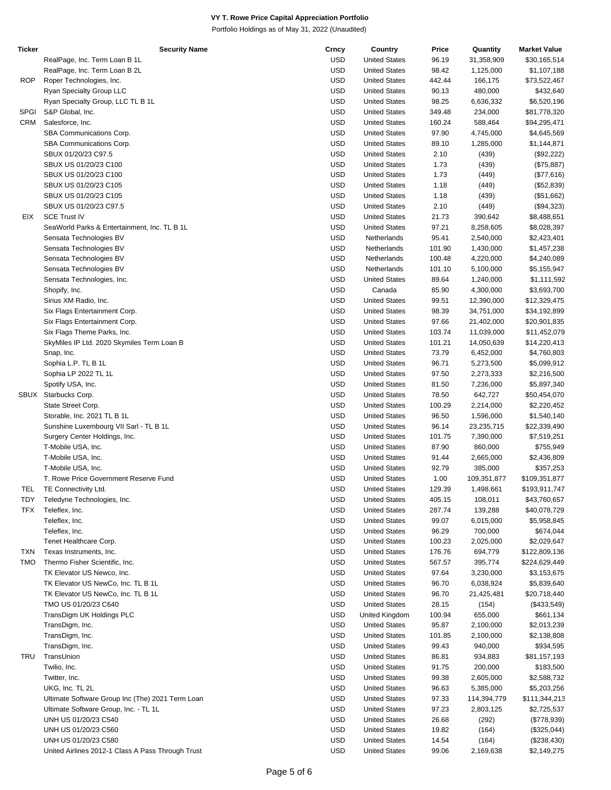| Ticker     | <b>Security Name</b>                              | Crncy      | Country              | Price  | Quantity    | <b>Market Value</b> |
|------------|---------------------------------------------------|------------|----------------------|--------|-------------|---------------------|
|            | RealPage, Inc. Term Loan B 1L                     | <b>USD</b> | <b>United States</b> | 96.19  | 31,358,909  | \$30,165,514        |
|            | RealPage, Inc. Term Loan B 2L                     | <b>USD</b> | <b>United States</b> | 98.42  | 1,125,000   | \$1,107,188         |
| <b>ROP</b> | Roper Technologies, Inc.                          | <b>USD</b> | <b>United States</b> | 442.44 | 166,175     | \$73,522,467        |
|            | Ryan Specialty Group LLC                          | <b>USD</b> | <b>United States</b> | 90.13  | 480,000     | \$432,640           |
|            | Ryan Specialty Group, LLC TL B 1L                 | <b>USD</b> | <b>United States</b> | 98.25  | 6,636,332   | \$6,520,196         |
| SPGI       | S&P Global, Inc.                                  | <b>USD</b> | <b>United States</b> | 349.48 | 234,000     | \$81,778,320        |
| CRM        | Salesforce, Inc.                                  | <b>USD</b> | <b>United States</b> | 160.24 | 588,464     | \$94,295,471        |
|            | SBA Communications Corp.                          | <b>USD</b> | <b>United States</b> | 97.90  | 4,745,000   | \$4,645,569         |
|            |                                                   |            |                      |        |             |                     |
|            | SBA Communications Corp.                          | <b>USD</b> | <b>United States</b> | 89.10  | 1,285,000   | \$1,144,871         |
|            | SBUX 01/20/23 C97.5                               | <b>USD</b> | <b>United States</b> | 2.10   | (439)       | (\$92,222)          |
|            | SBUX US 01/20/23 C100                             | <b>USD</b> | <b>United States</b> | 1.73   | (439)       | (\$75,887)          |
|            | SBUX US 01/20/23 C100                             | <b>USD</b> | <b>United States</b> | 1.73   | (449)       | (\$77,616)          |
|            | SBUX US 01/20/23 C105                             | <b>USD</b> | <b>United States</b> | 1.18   | (449)       | (\$52,839)          |
|            | SBUX US 01/20/23 C105                             | <b>USD</b> | <b>United States</b> | 1.18   | (439)       | (\$51,662)          |
|            | SBUX US 01/20/23 C97.5                            | <b>USD</b> | <b>United States</b> | 2.10   | (449)       | (\$94,323)          |
| EIX        | <b>SCE Trust IV</b>                               | <b>USD</b> | <b>United States</b> | 21.73  | 390,642     | \$8,488,651         |
|            | SeaWorld Parks & Entertainment, Inc. TL B 1L      | <b>USD</b> | <b>United States</b> | 97.21  | 8,258,605   | \$8,028,397         |
|            | Sensata Technologies BV                           | <b>USD</b> | Netherlands          | 95.41  | 2,540,000   | \$2,423,401         |
|            | Sensata Technologies BV                           | <b>USD</b> | Netherlands          | 101.90 | 1,430,000   | \$1,457,238         |
|            | Sensata Technologies BV                           | <b>USD</b> | Netherlands          | 100.48 | 4,220,000   | \$4,240,089         |
|            | Sensata Technologies BV                           | <b>USD</b> | Netherlands          | 101.10 | 5,100,000   | \$5,155,947         |
|            | Sensata Technologies, Inc.                        | <b>USD</b> | <b>United States</b> | 89.64  | 1,240,000   | \$1,111,592         |
|            | Shopify, Inc.                                     | <b>USD</b> | Canada               | 85.90  | 4,300,000   | \$3,693,700         |
|            |                                                   | <b>USD</b> | <b>United States</b> |        |             |                     |
|            | Sirius XM Radio, Inc.                             |            |                      | 99.51  | 12,390,000  | \$12,329,475        |
|            | Six Flags Entertainment Corp.                     | <b>USD</b> | <b>United States</b> | 98.39  | 34,751,000  | \$34,192,899        |
|            | Six Flags Entertainment Corp.                     | <b>USD</b> | <b>United States</b> | 97.66  | 21,402,000  | \$20,901,835        |
|            | Six Flags Theme Parks, Inc.                       | <b>USD</b> | <b>United States</b> | 103.74 | 11,039,000  | \$11,452,079        |
|            | SkyMiles IP Ltd. 2020 Skymiles Term Loan B        | <b>USD</b> | <b>United States</b> | 101.21 | 14,050,639  | \$14,220,413        |
|            | Snap, Inc.                                        | <b>USD</b> | <b>United States</b> | 73.79  | 6,452,000   | \$4,760,803         |
|            | Sophia L.P. TL B 1L                               | <b>USD</b> | <b>United States</b> | 96.71  | 5,273,500   | \$5,099,912         |
|            | Sophia LP 2022 TL 1L                              | <b>USD</b> | <b>United States</b> | 97.50  | 2,273,333   | \$2,216,500         |
|            | Spotify USA, Inc.                                 | <b>USD</b> | <b>United States</b> | 81.50  | 7,236,000   | \$5,897,340         |
| SBUX       | Starbucks Corp.                                   | <b>USD</b> | <b>United States</b> | 78.50  | 642,727     | \$50,454,070        |
|            | State Street Corp.                                | <b>USD</b> | <b>United States</b> | 100.29 | 2,214,000   | \$2,220,452         |
|            | Storable, Inc. 2021 TL B 1L                       | <b>USD</b> | <b>United States</b> | 96.50  | 1,596,000   | \$1,540,140         |
|            | Sunshine Luxembourg VII Sarl - TL B 1L            | <b>USD</b> | <b>United States</b> | 96.14  | 23,235,715  | \$22,339,490        |
|            | Surgery Center Holdings, Inc.                     | <b>USD</b> | <b>United States</b> | 101.75 | 7,390,000   | \$7,519,251         |
|            | T-Mobile USA, Inc.                                | <b>USD</b> | <b>United States</b> | 87.90  | 860,000     | \$755,949           |
|            |                                                   | <b>USD</b> |                      |        |             |                     |
|            | T-Mobile USA, Inc.                                |            | <b>United States</b> | 91.44  | 2,665,000   | \$2,436,809         |
|            | T-Mobile USA, Inc.                                | <b>USD</b> | <b>United States</b> | 92.79  | 385,000     | \$357,253           |
|            | T. Rowe Price Government Reserve Fund             | <b>USD</b> | <b>United States</b> | 1.00   | 109,351,877 | \$109,351,877       |
| TEL        | TE Connectivity Ltd.                              | <b>USD</b> | <b>United States</b> | 129.39 | 1,498,661   | \$193,911,747       |
| <b>TDY</b> | Teledyne Technologies, Inc.                       | <b>USD</b> | <b>United States</b> | 405.15 | 108,011     | \$43,760,657        |
| TFX        | Teleflex, Inc.                                    | <b>USD</b> | <b>United States</b> | 287.74 | 139,288     | \$40,078,729        |
|            | Teleflex, Inc.                                    | <b>USD</b> | <b>United States</b> | 99.07  | 6,015,000   | \$5,958,845         |
|            | Teleflex, Inc.                                    | <b>USD</b> | <b>United States</b> | 96.29  | 700,000     | \$674,044           |
|            | Tenet Healthcare Corp.                            | <b>USD</b> | <b>United States</b> | 100.23 | 2,025,000   | \$2,029,647         |
| <b>TXN</b> | Texas Instruments, Inc.                           | <b>USD</b> | <b>United States</b> | 176.76 | 694,779     | \$122,809,136       |
| <b>TMO</b> | Thermo Fisher Scientific, Inc.                    | <b>USD</b> | <b>United States</b> | 567.57 | 395,774     | \$224,629,449       |
|            | TK Elevator US Newco, Inc.                        | <b>USD</b> | <b>United States</b> | 97.64  | 3,230,000   | \$3,153,675         |
|            | TK Elevator US NewCo, Inc. TL B 1L                | <b>USD</b> | <b>United States</b> | 96.70  | 6,038,924   | \$5,839,640         |
|            | TK Elevator US NewCo, Inc. TL B 1L                | <b>USD</b> | <b>United States</b> | 96.70  | 21,425,481  | \$20,718,440        |
|            | TMO US 01/20/23 C640                              | <b>USD</b> | <b>United States</b> | 28.15  | (154)       | (\$433,549)         |
|            | TransDigm UK Holdings PLC                         | <b>USD</b> | United Kingdom       | 100.94 | 655,000     | \$661,134           |
|            |                                                   |            |                      |        |             |                     |
|            | TransDigm, Inc.                                   | <b>USD</b> | <b>United States</b> | 95.87  | 2,100,000   | \$2,013,239         |
|            | TransDigm, Inc.                                   | <b>USD</b> | <b>United States</b> | 101.85 | 2,100,000   | \$2,138,808         |
|            | TransDigm, Inc.                                   | <b>USD</b> | <b>United States</b> | 99.43  | 940,000     | \$934,595           |
| TRU        | TransUnion                                        | <b>USD</b> | <b>United States</b> | 86.81  | 934,883     | \$81,157,193        |
|            | Twilio, Inc.                                      | <b>USD</b> | <b>United States</b> | 91.75  | 200,000     | \$183,500           |
|            | Twitter, Inc.                                     | <b>USD</b> | <b>United States</b> | 99.38  | 2,605,000   | \$2,588,732         |
|            | UKG, Inc. TL 2L                                   | <b>USD</b> | <b>United States</b> | 96.63  | 5,385,000   | \$5,203,256         |
|            | Ultimate Software Group Inc (The) 2021 Term Loan  | <b>USD</b> | <b>United States</b> | 97.33  | 114,394,779 | \$111,344,213       |
|            | Ultimate Software Group, Inc. - TL 1L             | <b>USD</b> | <b>United States</b> | 97.23  | 2,803,125   | \$2,725,537         |
|            | UNH US 01/20/23 C540                              | <b>USD</b> | <b>United States</b> | 26.68  | (292)       | (\$778,939)         |
|            | UNH US 01/20/23 C560                              | <b>USD</b> | <b>United States</b> | 19.82  | (164)       | (\$325,044)         |
|            | UNH US 01/20/23 C580                              | <b>USD</b> | <b>United States</b> | 14.54  | (164)       | (\$238,430)         |
|            | United Airlines 2012-1 Class A Pass Through Trust | <b>USD</b> | <b>United States</b> | 99.06  | 2,169,638   | \$2,149,275         |
|            |                                                   |            |                      |        |             |                     |